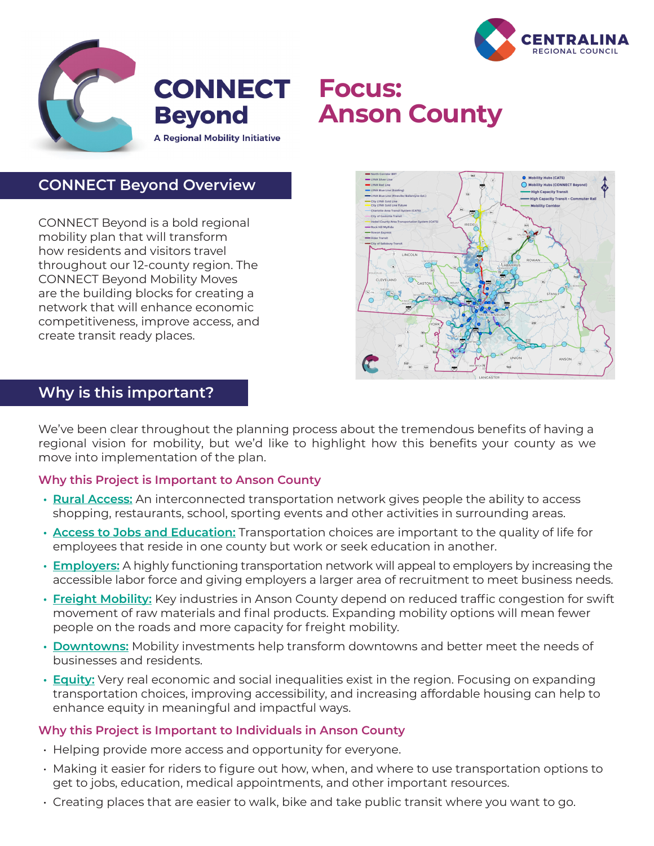



# **CONNECT Focus: Anson County**

**CONNECT Beyond Overview**

CONNECT Beyond is a bold regional mobility plan that will transform how residents and visitors travel throughout our 12-county region. The CONNECT Beyond Mobility Moves are the building blocks for creating a network that will enhance economic competitiveness, improve access, and create transit ready places.



# **Why is this important?**

We've been clear throughout the planning process about the tremendous benefits of having a regional vision for mobility, but we'd like to highlight how this benefits your county as we move into implementation of the plan.

## **Why this Project is Important to Anson County**

- **• Rural Access:** An interconnected transportation network gives people the ability to access shopping, restaurants, school, sporting events and other activities in surrounding areas.
- **• Access to Jobs and Education:** Transportation choices are important to the quality of life for employees that reside in one county but work or seek education in another.
- **• Employers:** A highly functioning transportation network will appeal to employers by increasing the accessible labor force and giving employers a larger area of recruitment to meet business needs.
- **• Freight Mobility:** Key industries in Anson County depend on reduced traffic congestion for swift movement of raw materials and final products. Expanding mobility options will mean fewer people on the roads and more capacity for freight mobility.
- **• Downtowns:** Mobility investments help transform downtowns and better meet the needs of businesses and residents.
- **• Equity:** Very real economic and social inequalities exist in the region. Focusing on expanding transportation choices, improving accessibility, and increasing affordable housing can help to enhance equity in meaningful and impactful ways.

#### **Why this Project is Important to Individuals in Anson County**

- Helping provide more access and opportunity for everyone.
- Making it easier for riders to figure out how, when, and where to use transportation options to get to jobs, education, medical appointments, and other important resources.
- Creating places that are easier to walk, bike and take public transit where you want to go.